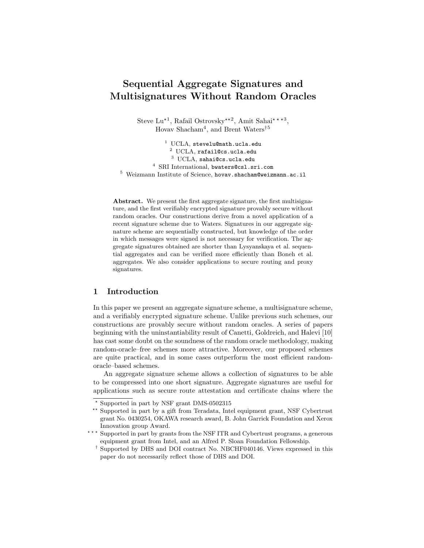# Sequential Aggregate Signatures and Multisignatures Without Random Oracles

Steve Lu<sup>\*1</sup>, Rafail Ostrovsky<sup>\*\*2</sup>, Amit Sahai<sup>\*\*\*3</sup>, Hovav Shacham<sup>4</sup> , and Brent Waters†<sup>5</sup>

 $1$  UCLA, stevelu@math.ucla.edu  $2 \text{ UCLA}, \text{rafail@cs.ucla.edu}$  $^3$  UCLA, sahai@cs.ucla.edu <sup>4</sup> SRI International, bwaters@csl.sri.com <sup>5</sup> Weizmann Institute of Science, hovav.shacham@weizmann.ac.il

Abstract. We present the first aggregate signature, the first multisignature, and the first verifiably encrypted signature provably secure without random oracles. Our constructions derive from a novel application of a recent signature scheme due to Waters. Signatures in our aggregate signature scheme are sequentially constructed, but knowledge of the order in which messages were signed is not necessary for verification. The aggregate signatures obtained are shorter than Lysyanskaya et al. sequential aggregates and can be verified more efficiently than Boneh et al. aggregates. We also consider applications to secure routing and proxy signatures.

## 1 Introduction

In this paper we present an aggregate signature scheme, a multisignature scheme, and a verifiably encrypted signature scheme. Unlike previous such schemes, our constructions are provably secure without random oracles. A series of papers beginning with the uninstantiability result of Canetti, Goldreich, and Halevi [10] has cast some doubt on the soundness of the random oracle methodology, making random-oracle–free schemes more attractive. Moreover, our proposed schemes are quite practical, and in some cases outperform the most efficient randomoracle–based schemes.

An aggregate signature scheme allows a collection of signatures to be able to be compressed into one short signature. Aggregate signatures are useful for applications such as secure route attestation and certificate chains where the

<sup>?</sup> Supported in part by NSF grant DMS-0502315

<sup>\*\*</sup> Supported in part by a gift from Teradata, Intel equipment grant, NSF Cybertrust grant No. 0430254, OKAWA research award, B. John Garrick Foundation and Xerox Innovation group Award.

<sup>\*\*\*</sup> Supported in part by grants from the NSF ITR and Cybertrust programs, a generous equipment grant from Intel, and an Alfred P. Sloan Foundation Fellowship.

<sup>†</sup> Supported by DHS and DOI contract No. NBCHF040146. Views expressed in this paper do not necessarily reflect those of DHS and DOI.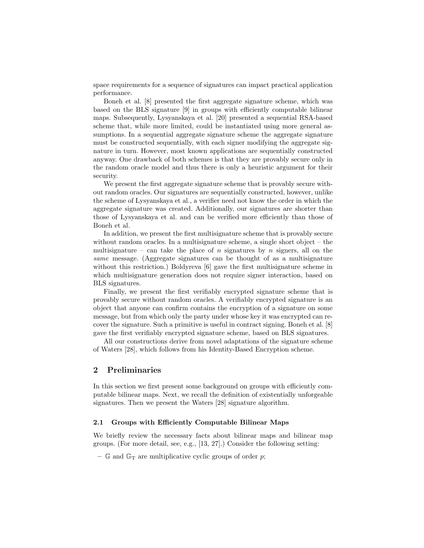space requirements for a sequence of signatures can impact practical application performance.

Boneh et al. [8] presented the first aggregate signature scheme, which was based on the BLS signature [9] in groups with efficiently computable bilinear maps. Subsequently, Lysyanskaya et al. [20] presented a sequential RSA-based scheme that, while more limited, could be instantiated using more general assumptions. In a sequential aggregate signature scheme the aggregate signature must be constructed sequentially, with each signer modifying the aggregate signature in turn. However, most known applications are sequentially constructed anyway. One drawback of both schemes is that they are provably secure only in the random oracle model and thus there is only a heuristic argument for their security.

We present the first aggregate signature scheme that is provably secure without random oracles. Our signatures are sequentially constructed, however, unlike the scheme of Lysyanskaya et al., a verifier need not know the order in which the aggregate signature was created. Additionally, our signatures are shorter than those of Lysyanskaya et al. and can be verified more efficiently than those of Boneh et al.

In addition, we present the first multisignature scheme that is provably secure without random oracles. In a multisignature scheme, a single short object – the multisignature – can take the place of n signatures by n signers, all on the same message. (Aggregate signatures can be thought of as a multisignature without this restriction.) Boldyreva [6] gave the first multisignature scheme in which multisignature generation does not require signer interaction, based on BLS signatures.

Finally, we present the first verifiably encrypted signature scheme that is provably secure without random oracles. A verifiably encrypted signature is an object that anyone can confirm contains the encryption of a signature on some message, but from which only the party under whose key it was encrypted can recover the signature. Such a primitive is useful in contract signing. Boneh et al. [8] gave the first verifiably encrypted signature scheme, based on BLS signatures.

All our constructions derive from novel adaptations of the signature scheme of Waters [28], which follows from his Identity-Based Encryption scheme.

# 2 Preliminaries

In this section we first present some background on groups with efficiently computable bilinear maps. Next, we recall the definition of existentially unforgeable signatures. Then we present the Waters [28] signature algorithm.

### 2.1 Groups with Efficiently Computable Bilinear Maps

We briefly review the necessary facts about bilinear maps and bilinear map groups. (For more detail, see, e.g., [13, 27].) Consider the following setting:

–  $\mathbb{G}$  and  $\mathbb{G}_{\mathrm{T}}$  are multiplicative cyclic groups of order p;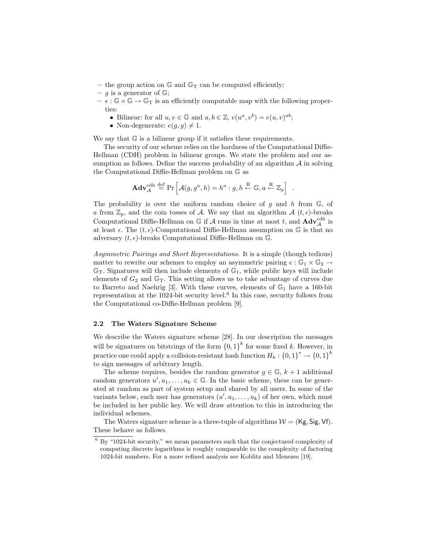- the group action on  $\mathbb{G}$  and  $\mathbb{G}_T$  can be computed efficiently;
- g is a generator of  $\mathbb{G}$ ;
- $e : \mathbb{G} \times \mathbb{G} \to \mathbb{G}_T$  is an efficiently computable map with the following properties:
	- Bilinear: for all  $u, v \in \mathbb{G}$  and  $a, b \in \mathbb{Z}$ ,  $e(u^a, v^b) = e(u, v)^{ab}$ ;
	- Non-degenerate:  $e(g, g) \neq 1$ .

We say that  $G$  is a bilinear group if it satisfies these requirements.

The security of our scheme relies on the hardness of the Computational Diffie-Hellman (CDH) problem in bilinear groups. We state the problem and our assumption as follows. Define the success probability of an algorithm  $A$  in solving the Computational Diffie-Hellman problem on G as

$$
\mathbf{Adv}_{\mathcal{A}}^{\text{cdh}} \stackrel{\text{def}}{=} \Pr \left[ \mathcal{A}(g, g^a, h) = h^a : g, h \stackrel{\text{R}}{\leftarrow} \mathbb{G}, a \stackrel{\text{R}}{\leftarrow} \mathbb{Z}_p \right] .
$$

The probability is over the uniform random choice of g and h from  $\mathbb{G}$ , of a from  $\mathbb{Z}_p$ , and the coin tosses of A. We say that an algorithm A  $(t, \epsilon)$ -breaks Computational Diffie-Hellman on  $\mathbb G$  if  $\mathcal A$  runs in time at most t, and  $\mathbf{Adv}_{\mathcal A}^{\mathrm{cdh}}$  is at least  $\epsilon$ . The  $(t, \epsilon)$ -Computational Diffie-Hellman assumption on  $\mathbb{G}$  is that no adversary  $(t, \epsilon)$ -breaks Computational Diffie-Hellman on G.

Asymmetric Pairings and Short Representations. It is a simple (though tedious) matter to rewrite our schemes to employ an asymmetric pairing  $e : \mathbb{G}_1 \times \mathbb{G}_2 \rightarrow$  $\mathbb{G}_T$ . Signatures will then include elements of  $\mathbb{G}_1$ , while public keys will include elements of  $G_2$  and  $\mathbb{G}_T$ . This setting allows us to take advantage of curves due to Barreto and Naehrig [3]. With these curves, elements of  $\mathbb{G}_1$  have a 160-bit representation at the 1024-bit security level.<sup>6</sup> In this case, security follows from the Computational co-Diffie-Hellman problem [9].

### 2.2 The Waters Signature Scheme

We describe the Waters signature scheme [28]. In our description the messages will be signatures on bitstrings of the form  ${0,1}^k$  for some fixed k. However, in practice one could apply a collision-resistant hash function  $H_k: \left\{0,1\right\}^* \rightarrow \left\{0,1\right\}^k$ to sign messages of arbitrary length.

The scheme requires, besides the random generator  $g \in \mathbb{G}$ ,  $k+1$  additional random generators  $u', u_1, \ldots, u_k \in \mathbb{G}$ . In the basic scheme, these can be generated at random as part of system setup and shared by all users. In some of the variants below, each user has generators  $(u', u_1, \ldots, u_k)$  of her own, which must be included in her public key. We will draw attention to this in introducing the individual schemes.

The Waters signature scheme is a three-tuple of algorithms  $W = (Kg, Sig, Vf)$ . These behave as follows.

 $^6$  By "1024-bit security," we mean parameters such that the conjectured complexity of computing discrete logarithms is roughly comparable to the complexity of factoring 1024-bit numbers. For a more refined analysis see Koblitz and Menezes [19].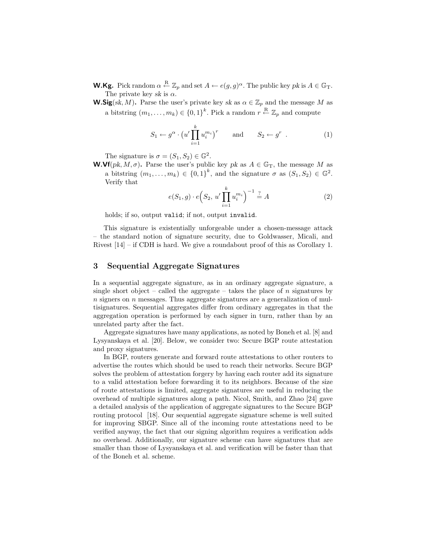- **W.Kg.** Pick random  $\alpha \stackrel{\text{R}}{\leftarrow} \mathbb{Z}_p$  and set  $A \leftarrow e(g, g)^{\alpha}$ . The public key pk is  $A \in \mathbb{G}_\text{T}$ . The private key sk is  $\alpha$ .
- **W.Sig**(sk, M). Parse the user's private key sk as  $\alpha \in \mathbb{Z}_p$  and the message M as a bitstring  $(m_1, \ldots, m_k) \in \{0,1\}^k$ . Pick a random  $r \stackrel{\text{R}}{\leftarrow} \mathbb{Z}_p$  and compute

$$
S_1 \leftarrow g^{\alpha} \cdot \left( u' \prod_{i=1}^{k} u_i^{m_i} \right)^r \quad \text{and} \quad S_2 \leftarrow g^r \quad . \tag{1}
$$

The signature is  $\sigma = (S_1, S_2) \in \mathbb{G}^2$ .

**W.Vf**(*pk, M,*  $\sigma$ ). Parse the user's public key *pk* as  $A \in \mathbb{G}_T$ , the message M as a bitstring  $(m_1, \ldots, m_k) \in \{0,1\}^k$ , and the signature  $\sigma$  as  $(S_1, S_2) \in \mathbb{G}^2$ . Verify that

$$
e(S_1, g) \cdot e\left(S_2, u'\prod_{i=1}^k u_i^{m_i}\right)^{-1} \stackrel{?}{=} A
$$
 (2)

holds; if so, output valid; if not, output invalid.

This signature is existentially unforgeable under a chosen-message attack – the standard notion of signature security, due to Goldwasser, Micali, and Rivest [14] – if CDH is hard. We give a roundabout proof of this as Corollary 1.

# 3 Sequential Aggregate Signatures

In a sequential aggregate signature, as in an ordinary aggregate signature, a single short object – called the aggregate – takes the place of  $n$  signatures by  $n$  signers on  $n$  messages. Thus aggregate signatures are a generalization of multisignatures. Sequential aggregates differ from ordinary aggregates in that the aggregation operation is performed by each signer in turn, rather than by an unrelated party after the fact.

Aggregate signatures have many applications, as noted by Boneh et al. [8] and Lysyanskaya et al. [20]. Below, we consider two: Secure BGP route attestation and proxy signatures.

In BGP, routers generate and forward route attestations to other routers to advertise the routes which should be used to reach their networks. Secure BGP solves the problem of attestation forgery by having each router add its signature to a valid attestation before forwarding it to its neighbors. Because of the size of route attestations is limited, aggregate signatures are useful in reducing the overhead of multiple signatures along a path. Nicol, Smith, and Zhao [24] gave a detailed analysis of the application of aggregate signatures to the Secure BGP routing protocol [18]. Our sequential aggregate signature scheme is well suited for improving SBGP. Since all of the incoming route attestations need to be verified anyway, the fact that our signing algorithm requires a verification adds no overhead. Additionally, our signature scheme can have signatures that are smaller than those of Lysyanskaya et al. and verification will be faster than that of the Boneh et al. scheme.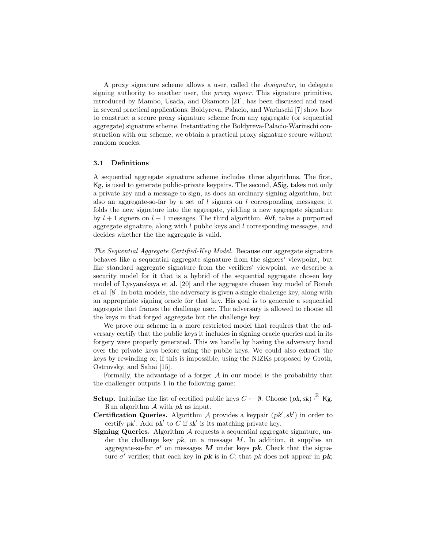A proxy signature scheme allows a user, called the designator, to delegate signing authority to another user, the *proxy signer*. This signature primitive, introduced by Mambo, Usada, and Okamoto [21], has been discussed and used in several practical applications. Boldyreva, Palacio, and Warinschi [7] show how to construct a secure proxy signature scheme from any aggregate (or sequential aggregate) signature scheme. Instantiating the Boldyreva-Palacio-Warinschi construction with our scheme, we obtain a practical proxy signature secure without random oracles.

### 3.1 Definitions

A sequential aggregate signature scheme includes three algorithms. The first, Kg, is used to generate public-private keypairs. The second, ASig, takes not only a private key and a message to sign, as does an ordinary signing algorithm, but also an aggregate-so-far by a set of  $l$  signers on  $l$  corresponding messages; it folds the new signature into the aggregate, yielding a new aggregate signature by  $l + 1$  signers on  $l + 1$  messages. The third algorithm, AVf, takes a purported aggregate signature, along with  $l$  public keys and  $l$  corresponding messages, and decides whether the the aggregate is valid.

The Sequential Aggregate Certified-Key Model. Because our aggregate signature behaves like a sequential aggregate signature from the signers' viewpoint, but like standard aggregate signature from the verifiers' viewpoint, we describe a security model for it that is a hybrid of the sequential aggregate chosen key model of Lysyanskaya et al. [20] and the aggregate chosen key model of Boneh et al. [8]. In both models, the adversary is given a single challenge key, along with an appropriate signing oracle for that key. His goal is to generate a sequential aggregate that frames the challenge user. The adversary is allowed to choose all the keys in that forged aggregate but the challenge key.

We prove our scheme in a more restricted model that requires that the adversary certify that the public keys it includes in signing oracle queries and in its forgery were properly generated. This we handle by having the adversary hand over the private keys before using the public keys. We could also extract the keys by rewinding or, if this is impossible, using the NIZKs proposed by Groth, Ostrovsky, and Sahai [15].

Formally, the advantage of a forger  $A$  in our model is the probability that the challenger outputs 1 in the following game:

- **Setup.** Initialize the list of certified public keys  $C \leftarrow \emptyset$ . Choose  $(pk, sk) \stackrel{R}{\leftarrow}$  Kg. Run algorithm A with pk as input.
- Certification Queries. Algorithm A provides a keypair  $(pk, sk')$  in order to certify  $pk'$ . Add  $pk'$  to  $\tilde{C}$  if  $sk'$  is its matching private key.
- **Signing Queries.** Algorithm  $A$  requests a sequential aggregate signature, under the challenge key  $pk$ , on a message  $M$ . In addition, it supplies an aggregate-so-far  $\sigma'$  on messages M under keys pk. Check that the signature  $\sigma'$  verifies; that each key in **pk** is in C; that pk does not appear in **pk**;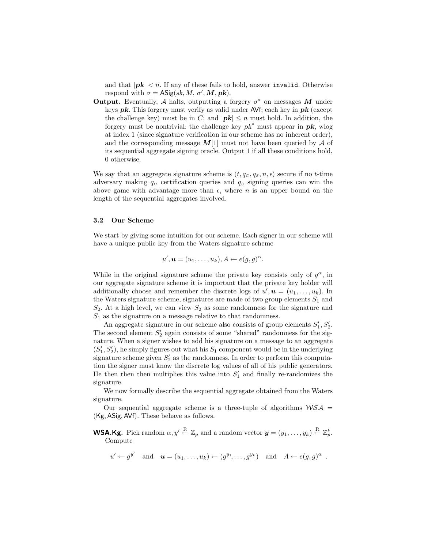and that  $|\mathbf{pk}| < n$ . If any of these fails to hold, answer invalid. Otherwise respond with  $\sigma = \text{ASig}(sk, M, \sigma', M, pk)$ .

**Output.** Eventually, A halts, outputting a forgery  $\sigma^*$  on messages M under keys  $pk$ . This forgery must verify as valid under  $AVf$ ; each key in  $pk$  (except the challenge key) must be in C; and  $|\mathbf{pk}| \leq n$  must hold. In addition, the forgery must be nontrivial: the challenge key  $pk^*$  must appear in **pk**, wlog at index 1 (since signature verification in our scheme has no inherent order), and the corresponding message  $M[1]$  must not have been queried by A of its sequential aggregate signing oracle. Output 1 if all these conditions hold, 0 otherwise.

We say that an aggregate signature scheme is  $(t, q<sub>c</sub>, q<sub>s</sub>, n, \epsilon)$  secure if no t-time adversary making  $q_c$  certification queries and  $q_s$  signing queries can win the above game with advantage more than  $\epsilon$ , where *n* is an upper bound on the length of the sequential aggregates involved.

#### 3.2 Our Scheme

We start by giving some intuition for our scheme. Each signer in our scheme will have a unique public key from the Waters signature scheme

$$
u',\boldsymbol{u}=(u_1,\ldots,u_k),A\leftarrow e(g,g)^{\alpha}.
$$

While in the original signature scheme the private key consists only of  $g^{\alpha}$ , in our aggregate signature scheme it is important that the private key holder will additionally choose and remember the discrete logs of  $u', u = (u_1, \ldots, u_k)$ . In the Waters signature scheme, signatures are made of two group elements  $S_1$  and  $S_2$ . At a high level, we can view  $S_2$  as some randomness for the signature and  $S_1$  as the signature on a message relative to that randomness.

An aggregate signature in our scheme also consists of group elements  $S'_1, S'_2$ . The second element  $S_2'$  again consists of some "shared" randomness for the signature. When a signer wishes to add his signature on a message to an aggregate  $(S'_1, S'_2)$ , he simply figures out what his  $S_1$  component would be in the underlying signature scheme given  $S'_2$  as the randomness. In order to perform this computation the signer must know the discrete log values of all of his public generators. He then then multiplies this value into  $S'_1$  and finally re-randomizes the signature.

We now formally describe the sequential aggregate obtained from the Waters signature.

Our sequential aggregate scheme is a three-tuple of algorithms  $\mathcal{WSA} =$ (Kg,ASig,AVf). These behave as follows.

**WSA.Kg.** Pick random  $\alpha, y' \stackrel{\text{R}}{\leftarrow} \mathbb{Z}_p$  and a random vector  $\boldsymbol{y} = (y_1, \dots, y_k) \stackrel{\text{R}}{\leftarrow} \mathbb{Z}_p^k$ . Compute

$$
u' \leftarrow g^{y'}
$$
 and  $\mathbf{u} = (u_1, \dots, u_k) \leftarrow (g^{y_1}, \dots, g^{y_k})$  and  $A \leftarrow e(g, g)^{\alpha}$ 

.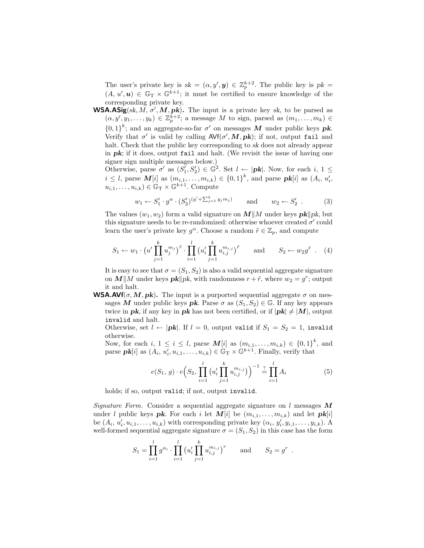The user's private key is  $sk = (\alpha, y', y) \in \mathbb{Z}_p^{k+2}$ . The public key is  $pk =$  $(A, u', u) \in \mathbb{G}_{T} \times \mathbb{G}^{k+1}$ ; it must be certified to ensure knowledge of the corresponding private key.

**WSA.ASig**(sk, M,  $\sigma'$ , M, pk). The input is a private key sk, to be parsed as  $(\alpha, y', y_1, \ldots, y_k) \in \mathbb{Z}_p^{k+2}$ ; a message M to sign, parsed as  $(m_1, \ldots, m_k) \in$  ${0,1}^k$ ; and an aggregate-so-far  $\sigma'$  on messages M under public keys pk. Verify that  $\sigma'$  is valid by calling  $\mathsf{AVf}(\sigma', \mathbf{M}, \mathbf{pk})$ ; if not, output fail and halt. Check that the public key corresponding to sk does not already appear in  $pk$ ; if it does, output fail and halt. (We revisit the issue of having one signer sign multiple messages below.)

Otherwise, parse  $\sigma'$  as  $(S_1', S_2') \in \mathbb{G}^2$ . Set  $l \leftarrow |\mathbf{pk}|$ . Now, for each  $i, 1 \leq$  $i \leq l$ , parse  $\mathbf{M}[i]$  as  $(m_{i,1}, \ldots, m_{i,k}) \in \{0,1\}^k$ , and parse  $\mathbf{pk}[i]$  as  $(A_i, u'_i,$  $u_{i,1}, \ldots, u_{i,k}) \in \mathbb{G}_{\mathrm{T}} \times \mathbb{G}^{k+1}$ . Compute

$$
w_1 \leftarrow S'_1 \cdot g^\alpha \cdot (S'_2)^{(y' + \sum_{j=1}^k y_j m_j)}
$$
 and  $w_2 \leftarrow S'_2$ . (3)

The values  $(w_1, w_2)$  form a valid signature on  $M||M$  under keys  $pk||pk$ , but this signature needs to be re-randomized: otherwise whoever created  $\sigma'$  could learn the user's private key  $g^{\alpha}$ . Choose a random  $\tilde{r} \in \mathbb{Z}_p$ , and compute

$$
S_1 \leftarrow w_1 \cdot \left(u'\prod_{j=1}^k u_j^{m_j}\right)^{\tilde{r}} \cdot \prod_{i=1}^l \left(u'_i \prod_{j=1}^k u_{i,j}^{m_{i,j}}\right)^{\tilde{r}} \quad \text{and} \quad S_2 \leftarrow w_2 g^{\tilde{r}} \quad (4)
$$

It is easy to see that  $\sigma = (S_1, S_2)$  is also a valid sequential aggregate signature on  $M||M$  under keys  $pk||pk$ , with randomness  $r + \tilde{r}$ , where  $w_2 = g^r$ ; output it and halt.

**WSA.AVf**( $\sigma$ , M, pk). The input is a purported sequential aggregate  $\sigma$  on messages M under public keys **pk**. Parse  $\sigma$  as  $(S_1, S_2) \in \mathbb{G}$ . If any key appears twice in **pk**, if any key in **pk** has not been certified, or if  $|\mathbf{pk}| \neq |M|$ , output invalid and halt.

Otherwise, set  $l \leftarrow |\mathbf{pk}|$ . If  $l = 0$ , output valid if  $S_1 = S_2 = 1$ , invalid otherwise.

Now, for each i,  $1 \leq i \leq l$ , parse  $M[i]$  as  $(m_{i,1},\ldots,m_{i,k}) \in \{0,1\}^k$ , and parse  $\boldsymbol{pk}[i]$  as  $(A_i, u'_i, u_{i,1}, \ldots, u_{i,k}) \in \mathbb{G}_{\mathrm{T}} \times \mathbb{G}^{k+1}$ . Finally, verify that

$$
e(S_1, g) \cdot e\left(S_2, \prod_{i=1}^l \left(u'_i \prod_{j=1}^k u_{i,j}^{m_{i,j}}\right)\right)^{-1} \stackrel{?}{=} \prod_{i=1}^l A_i
$$
 (5)

holds; if so, output valid; if not, output invalid.

Signature Form. Consider a sequential aggregate signature on  $l$  messages M under *l* public keys **pk**. For each *i* let  $M[i]$  be  $(m_{i,1}, \ldots, m_{i,k})$  and let  $pk[i]$ be  $(A_i, u'_i, u_{i,1}, \ldots, u_{i,k})$  with corresponding private key  $(\alpha_i, y'_i, y_{i,1}, \ldots, y_{i,k})$ . well-formed sequential aggregate signature  $\sigma = (S_1, S_2)$  in this case has the form

$$
S_1 = \prod_{i=1}^l g^{\alpha_i} \cdot \prod_{i=1}^l (u'_i \prod_{j=1}^k u_{i,j}^{m_{i,j}})^r \quad \text{and} \quad S_2 = g^r.
$$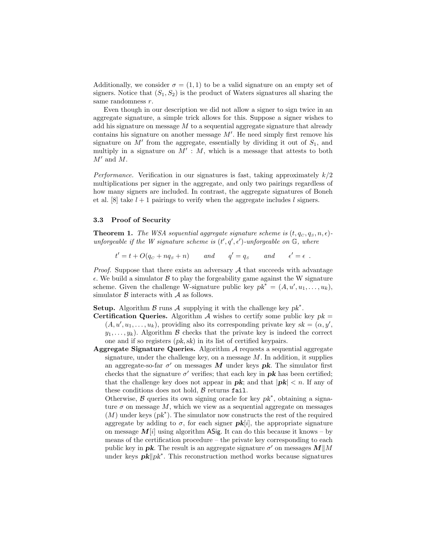Additionally, we consider  $\sigma = (1, 1)$  to be a valid signature on an empty set of signers. Notice that  $(S_1, S_2)$  is the product of Waters signatures all sharing the same randomness  $r$ .

Even though in our description we did not allow a signer to sign twice in an aggregate signature, a simple trick allows for this. Suppose a signer wishes to add his signature on message  $M$  to a sequential aggregate signature that already contains his signature on another message  $M'$ . He need simply first remove his signature on  $M'$  from the aggregate, essentially by dividing it out of  $S_1$ , and multiply in a signature on  $M' : M$ , which is a message that attests to both  $M'$  and  $M$ .

Performance. Verification in our signatures is fast, taking approximately  $k/2$ multiplications per signer in the aggregate, and only two pairings regardless of how many signers are included. In contrast, the aggregate signatures of Boneh et al. [8] take  $l + 1$  pairings to verify when the aggregate includes l signers.

### 3.3 Proof of Security

**Theorem 1.** The WSA sequential aggregate signature scheme is  $(t, q<sub>C</sub>, q<sub>S</sub>, n, \epsilon)$ unforgeable if the W signature scheme is  $(t', q', \epsilon')$ -unforgeable on  $\mathbb{G}$ , where

$$
t' = t + O(q_c + nq_s + n)
$$
 and  $q' = q_s$  and  $\epsilon' = \epsilon$ .

*Proof.* Suppose that there exists an adversary  $A$  that succeeds with advantage  $\epsilon$ . We build a simulator  $\beta$  to play the forgeability game against the W signature scheme. Given the challenge W-signature public key  $pk^* = (A, u', u_1, \ldots, u_k)$ , simulator  $\beta$  interacts with  $\mathcal A$  as follows.

Setup. Algorithm  $\beta$  runs  $\mathcal A$  supplying it with the challenge key  $pk^*$ .

- Certification Queries. Algorithm A wishes to certify some public key  $pk =$  $(A, u', u_1, \ldots, u_k)$ , providing also its corresponding private key  $sk = (\alpha, y',$  $y_1, \ldots, y_k$ ). Algorithm  $\beta$  checks that the private key is indeed the correct one and if so registers (pk,sk) in its list of certified keypairs.
- Aggregate Signature Queries. Algorithm  $A$  requests a sequential aggregate signature, under the challenge key, on a message  $M$ . In addition, it supplies an aggregate-so-far  $\sigma'$  on messages M under keys pk. The simulator first checks that the signature  $\sigma'$  verifies; that each key in **pk** has been certified; that the challenge key does not appear in **pk**; and that  $|\mathbf{pk}| < n$ . If any of these conditions does not hold,  $\beta$  returns fail.

Otherwise,  $\beta$  queries its own signing oracle for key  $pk^*$ , obtaining a signature  $\sigma$  on message M, which we view as a sequential aggregate on messages  $(M)$  under keys  $(pk^*)$ . The simulator now constructs the rest of the required aggregate by adding to  $\sigma$ , for each signer  $p\mathbf{k}[i]$ , the appropriate signature on message  $M[i]$  using algorithm ASig. It can do this because it knows – by means of the certification procedure – the private key corresponding to each public key in **pk**. The result is an aggregate signature  $\sigma'$  on messages  $M||M$ under keys  $pk||pk^*$ . This reconstruction method works because signatures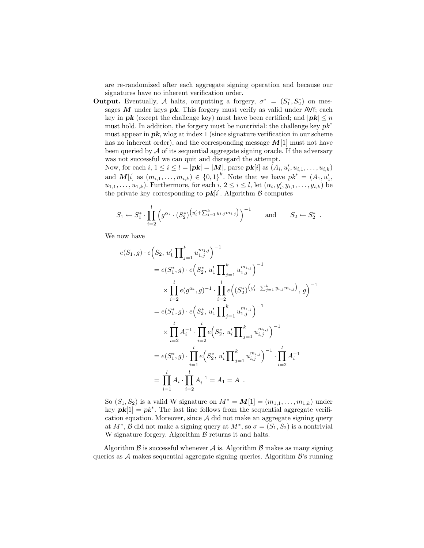are re-randomized after each aggregate signing operation and because our signatures have no inherent verification order.

**Output.** Eventually, A halts, outputting a forgery,  $\sigma^* = (S_1^*, S_2^*)$  on messages  $M$  under keys  $pk$ . This forgery must verify as valid under AVf; each key in **pk** (except the challenge key) must have been certified; and  $|\mathbf{pk}| \leq n$ must hold. In addition, the forgery must be nontrivial: the challenge key  $pk^*$ must appear in pk, wlog at index 1 (since signature verification in our scheme has no inherent order), and the corresponding message  $M[1]$  must not have been queried by  $A$  of its sequential aggregate signing oracle. If the adversary was not successful we can quit and disregard the attempt.

Now, for each  $i, 1 \leq i \leq l = |\mathbf{pk}| = |\mathbf{M}|$ , parse  $\mathbf{pk}[i]$  as  $(A_i, u'_i, u_{i,1}, \dots, u_{i,k})$ and  $M[i]$  as  $(m_{i,1},...,m_{i,k}) \in \{0,1\}^k$ . Note that we have  $pk^* = (A_1, u'_1,$  $u_{1,1}, \ldots, u_{1,k}$ ). Furthermore, for each  $i, 2 \leq i \leq l$ , let  $(\alpha_i, y'_i, y_{i,1}, \ldots, y_{i,k})$  be the private key corresponding to  $pk[i]$ . Algorithm  $\beta$  computes

$$
S_1 \leftarrow S_1^* \cdot \prod_{i=2}^l \left( g^{\alpha_i} \cdot (S_2^*)^{\left( y_i' + \sum_{j=1}^k y_{i,j} m_{i,j} \right)} \right)^{-1}
$$
 and  $S_2 \leftarrow S_2^*$ .

We now have

$$
e(S_1, g) \cdot e(S_2, u'_1 \prod_{j=1}^k u_{1,j}^{m_{1,j}})^{-1}
$$
  
\n
$$
= e(S_1^*, g) \cdot e(S_2^*, u'_1 \prod_{j=1}^k u_{1,j}^{m_{1,j}})^{-1}
$$
  
\n
$$
\times \prod_{i=2}^l e(g^{\alpha_i}, g)^{-1} \cdot \prod_{i=2}^l e((S_2^*)^{(y'_i + \sum_{j=1}^k y_{i,j} m_{i,j})}, g)^{-1}
$$
  
\n
$$
= e(S_1^*, g) \cdot e(S_2^*, u'_1 \prod_{j=1}^k u_{1,j}^{m_{1,j}})^{-1}
$$
  
\n
$$
\times \prod_{i=2}^l A_i^{-1} \cdot \prod_{i=2}^l e(S_2^*, u'_i \prod_{j=1}^k u_{i,j}^{m_{i,j}})^{-1}
$$
  
\n
$$
= e(S_1^*, g) \cdot \prod_{i=1}^l e(S_2^*, u'_i \prod_{j=1}^k u_{i,j}^{m_{i,j}})^{-1} \cdot \prod_{i=2}^l A_i^{-1}
$$
  
\n
$$
= \prod_{i=1}^l A_i \cdot \prod_{i=2}^l A_i^{-1} = A_1 = A.
$$

So  $(S_1, S_2)$  is a valid W signature on  $M^* = M[1] = (m_{1,1}, \ldots, m_{1,k})$  under key  $\mathbf{pk}[1] = p\mathbf{k}^*$ . The last line follows from the sequential aggregate verification equation. Moreover, since  $A$  did not make an aggregate signing query at  $M^*, \mathcal{B}$  did not make a signing query at  $M^*,$  so  $\sigma = (S_1, S_2)$  is a nontrivial W signature forgery. Algorithm  $\beta$  returns it and halts.

Algorithm  $\beta$  is successful whenever  $\mathcal A$  is. Algorithm  $\beta$  makes as many signing queries as  $A$  makes sequential aggregate signing queries. Algorithm  $B$ 's running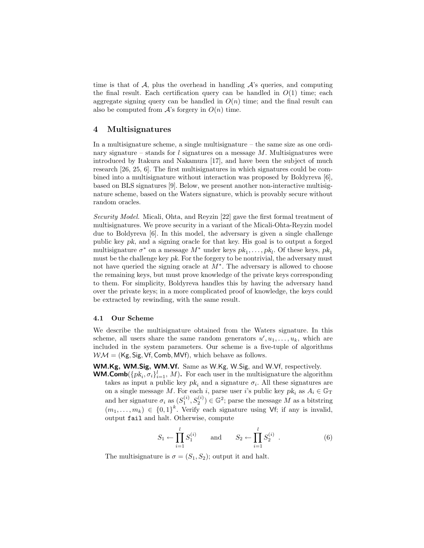time is that of  $A$ , plus the overhead in handling  $A$ 's queries, and computing the final result. Each certification query can be handled in  $O(1)$  time; each aggregate signing query can be handled in  $O(n)$  time; and the final result can also be computed from  $A$ 's forgery in  $O(n)$  time.

# 4 Multisignatures

In a multisignature scheme, a single multisignature – the same size as one ordinary signature – stands for  $l$  signatures on a message  $M$ . Multisignatures were introduced by Itakura and Nakamura [17], and have been the subject of much research [26, 25, 6]. The first multisignatures in which signatures could be combined into a multisignature without interaction was proposed by Boldyreva [6], based on BLS signatures [9]. Below, we present another non-interactive multisignature scheme, based on the Waters signature, which is provably secure without random oracles.

Security Model. Micali, Ohta, and Reyzin [22] gave the first formal treatment of multisignatures. We prove security in a variant of the Micali-Ohta-Reyzin model due to Boldyreva [6]. In this model, the adversary is given a single challenge public key pk, and a signing oracle for that key. His goal is to output a forged multisignature  $\sigma^*$  on a message  $M^*$  under keys  $pk_1, \ldots, pk_l$ . Of these keys,  $pk_1$ must be the challenge key pk. For the forgery to be nontrivial, the adversary must not have queried the signing oracle at  $M^*$ . The adversary is allowed to choose the remaining keys, but must prove knowledge of the private keys corresponding to them. For simplicity, Boldyreva handles this by having the adversary hand over the private keys; in a more complicated proof of knowledge, the keys could be extracted by rewinding, with the same result.

### 4.1 Our Scheme

We describe the multisignature obtained from the Waters signature. In this scheme, all users share the same random generators  $u', u_1, \ldots, u_k$ , which are included in the system parameters. Our scheme is a five-tuple of algorithms  $WM = (Kg, Sig, Vf, Comb, MVf),$  which behave as follows.

WM.Kg, WM.Sig, WM.Vf. Same as W.Kg, W.Sig, and W.Vf, respectively.

**WM.Comb**( $\{pk_i, \sigma_i\}_{i=1}^l$ , *M*). For each user in the multisignature the algorithm takes as input a public key  $pk_i$  and a signature  $\sigma_i$ . All these signatures are on a single message  $M$ . For each  $i$ , parse user  $i$ 's public key  $pk_i$  as  $A_i \in \mathbb{G}_T$ and her signature  $\sigma_i$  as  $(S_1^{(i)}, S_2^{(i)}) \in \mathbb{G}^2$ ; parse the message M as a bitstring  $(m_1, \ldots, m_k) \in \{0,1\}^k$ . Verify each signature using Vf; if any is invalid, output fail and halt. Otherwise, compute

$$
S_1 \leftarrow \prod_{i=1}^l S_1^{(i)}
$$
 and  $S_2 \leftarrow \prod_{i=1}^l S_2^{(i)}$ . (6)

The multisignature is  $\sigma = (S_1, S_2)$ ; output it and halt.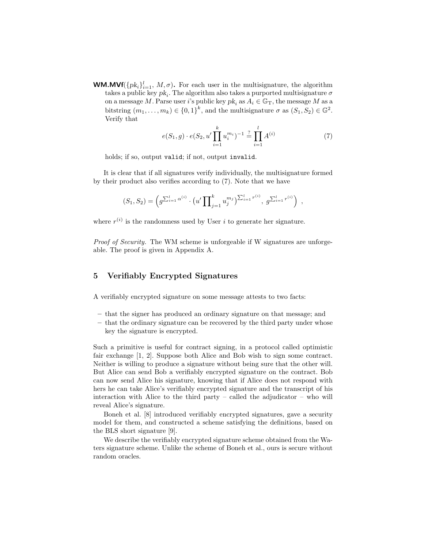**WM.MVf**( $\{pk_i\}_{i=1}^l$ ,  $M, \sigma$ ). For each user in the multisignature, the algorithm takes a public key  $pk_i$ . The algorithm also takes a purported multisignature  $\sigma$ on a message M. Parse user i's public key pk<sub>i</sub> as  $A_i \in \mathbb{G}_T$ , the message M as a bitstring  $(m_1, \ldots, m_k) \in \{0,1\}^k$ , and the multisignature  $\sigma$  as  $(S_1, S_2) \in \mathbb{G}^2$ . Verify that

$$
e(S_1, g) \cdot e(S_2, u' \prod_{i=1}^k u_i^{m_i})^{-1} \stackrel{?}{=} \prod_{i=1}^l A^{(i)} \tag{7}
$$

holds; if so, output valid; if not, output invalid.

It is clear that if all signatures verify individually, the multisignature formed by their product also verifies according to (7). Note that we have

$$
(S_1, S_2) = \left( g^{\sum_{i=1}^l \alpha^{(i)}} \cdot \left( u' \prod_{j=1}^k u_j^{m_j} \right)^{\sum_{i=1}^l r^{(i)}}, g^{\sum_{i=1}^l r^{(i)}} \right) ,
$$

where  $r^{(i)}$  is the randomness used by User i to generate her signature.

Proof of Security. The WM scheme is unforgeable if W signatures are unforgeable. The proof is given in Appendix A.

# 5 Verifiably Encrypted Signatures

A verifiably encrypted signature on some message attests to two facts:

- that the signer has produced an ordinary signature on that message; and
- that the ordinary signature can be recovered by the third party under whose key the signature is encrypted.

Such a primitive is useful for contract signing, in a protocol called optimistic fair exchange [1, 2]. Suppose both Alice and Bob wish to sign some contract. Neither is willing to produce a signature without being sure that the other will. But Alice can send Bob a verifiably encrypted signature on the contract. Bob can now send Alice his signature, knowing that if Alice does not respond with hers he can take Alice's verifiably encrypted signature and the transcript of his interaction with Alice to the third party – called the adjudicator – who will reveal Alice's signature.

Boneh et al. [8] introduced verifiably encrypted signatures, gave a security model for them, and constructed a scheme satisfying the definitions, based on the BLS short signature [9].

We describe the verifiably encrypted signature scheme obtained from the Waters signature scheme. Unlike the scheme of Boneh et al., ours is secure without random oracles.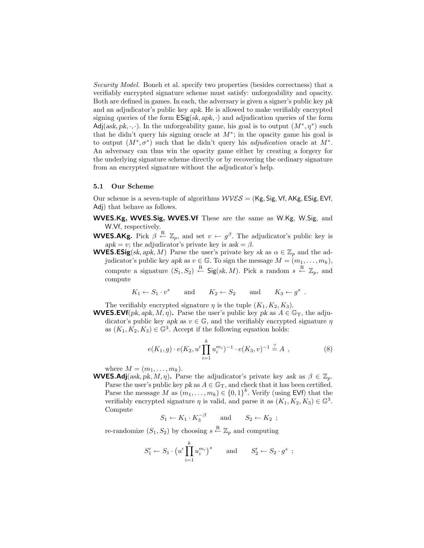Security Model. Boneh et al. specify two properties (besides correctness) that a verifiably encrypted signature scheme must satisfy: unforgeability and opacity. Both are defined in games. In each, the adversary is given a signer's public key pk and an adjudicator's public key apk. He is allowed to make verifiably encrypted signing queries of the form  $ESig(sk, apk, \cdot)$  and adjudication queries of the form Adj(ask, pk,  $\cdot$ ,  $\cdot$ ). In the unforgeability game, his goal is to output  $(M^*, \eta^*)$  such that he didn't query his signing oracle at  $M^*$ ; in the opacity game his goal is to output  $(M^*, \sigma^*)$  such that he didn't query his *adjudication* oracle at  $M^*$ . An adversary can thus win the opacity game either by creating a forgery for the underlying signature scheme directly or by recovering the ordinary signature from an encrypted signature without the adjudicator's help.

#### 5.1 Our Scheme

Our scheme is a seven-tuple of algorithms  $WVES = (Kg, Sig, Vf, AKg, ESig, EVf,$ Adj) that behave as follows.

- WVES.Kg, WVES.Sig, WVES.Vf These are the same as W.Kg, W.Sig, and W.Vf, respectively.
- **WVES.AKg.** Pick  $\beta \stackrel{R}{\leftarrow} \mathbb{Z}_p$ , and set  $v \leftarrow g^{\beta}$ . The adjudicator's public key is  $apk = v$ ; the adjudicator's private key is  $ask = \beta$ .
- **WVES.ESig**(sk, apk, M) Parse the user's private key sk as  $\alpha \in \mathbb{Z}_n$  and the adjudicator's public key apk as  $v \in \mathbb{G}$ . To sign the message  $M = (m_1, \ldots, m_k)$ , compute a signature  $(S_1, S_2) \stackrel{\text{R}}{\leftarrow}$  Sig(sk, M). Pick a random  $s \stackrel{\text{R}}{\leftarrow} \mathbb{Z}_p$ , and compute

$$
K_1 \leftarrow S_1 \cdot v^s
$$
 and  $K_2 \leftarrow S_2$  and  $K_3 \leftarrow g^s$ .

The verifiably encrypted signature  $\eta$  is the tuple  $(K_1, K_2, K_3)$ .

**WVES.EVf**(*pk, apk, M,*  $\eta$ ). Parse the user's public key *pk* as  $A \in \mathbb{G}_T$ , the adjudicator's public key apk as  $v \in \mathbb{G}$ , and the verifiably encrypted signature  $\eta$ as  $(K_1, K_2, K_3) \in \mathbb{G}^3$ . Accept if the following equation holds:

$$
e(K_1, g) \cdot e(K_2, u' \prod_{i=1}^k u_i^{m_i})^{-1} \cdot e(K_3, v)^{-1} \stackrel{?}{=} A ,
$$
 (8)

where  $M = (m_1, \ldots, m_k)$ .

**WVES.Adj**(ask, pk, M, η). Parse the adjudicator's private key ask as  $\beta \in \mathbb{Z}_p$ . Parse the user's public key pk as  $A \in \mathbb{G}_T$ , and check that it has been certified. Parse the message M as  $(m_1, \ldots, m_k) \in \{0,1\}^k$ . Verify (using EVf) that the verifiably encrypted signature  $\eta$  is valid, and parse it as  $(K_1, K_2, K_3) \in \mathbb{G}^3$ . Compute

 $S_1 \leftarrow K_1 \cdot K_3^{-\beta}$  and  $S_2 \leftarrow K_2$ ;

re-randomize  $(S_1, S_2)$  by choosing  $s \stackrel{\text{R}}{\leftarrow} \mathbb{Z}_p$  and computing

$$
S'_1 \leftarrow S_1 \cdot \left(u'\prod_{i=1}^k u_i^{m_i}\right)^s \quad \text{and} \quad S'_2 \leftarrow S_2 \cdot g^s ;
$$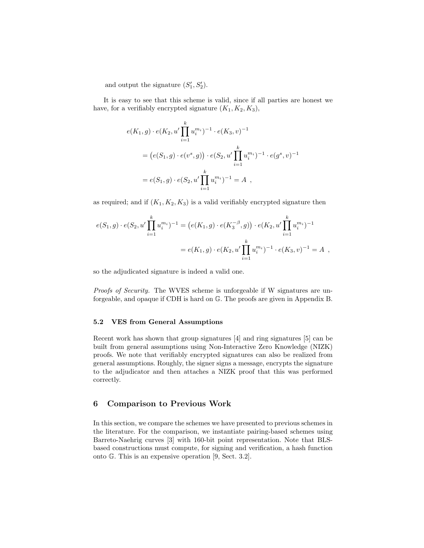and output the signature  $(S'_1, S'_2)$ .

It is easy to see that this scheme is valid, since if all parties are honest we have, for a verifiably encrypted signature  $(K_1, K_2, K_3)$ ,

$$
e(K_1, g) \cdot e(K_2, u' \prod_{i=1}^k u_i^{m_i})^{-1} \cdot e(K_3, v)^{-1}
$$
  
=  $(e(S_1, g) \cdot e(v^s, g)) \cdot e(S_2, u' \prod_{i=1}^k u_i^{m_i})^{-1} \cdot e(g^s, v)^{-1}$   
=  $e(S_1, g) \cdot e(S_2, u' \prod_{i=1}^k u_i^{m_i})^{-1} = A$ ,

as required; and if  $(K_1, K_2, K_3)$  is a valid verifiably encrypted signature then

$$
e(S_1, g) \cdot e(S_2, u' \prod_{i=1}^k u_i^{m_i})^{-1} = (e(K_1, g) \cdot e(K_3^{-\beta}, g)) \cdot e(K_2, u' \prod_{i=1}^k u_i^{m_i})^{-1}
$$
  
=  $e(K_1, g) \cdot e(K_2, u' \prod_{i=1}^k u_i^{m_i})^{-1} \cdot e(K_3, v)^{-1} = A$ ,

so the adjudicated signature is indeed a valid one.

Proofs of Security. The WVES scheme is unforgeable if W signatures are unforgeable, and opaque if CDH is hard on G. The proofs are given in Appendix B.

#### 5.2 VES from General Assumptions

Recent work has shown that group signatures [4] and ring signatures [5] can be built from general assumptions using Non-Interactive Zero Knowledge (NIZK) proofs. We note that verifiably encrypted signatures can also be realized from general assumptions. Roughly, the signer signs a message, encrypts the signature to the adjudicator and then attaches a NIZK proof that this was performed correctly.

### 6 Comparison to Previous Work

In this section, we compare the schemes we have presented to previous schemes in the literature. For the comparison, we instantiate pairing-based schemes using Barreto-Naehrig curves [3] with 160-bit point representation. Note that BLSbased constructions must compute, for signing and verification, a hash function onto G. This is an expensive operation [9, Sect. 3.2].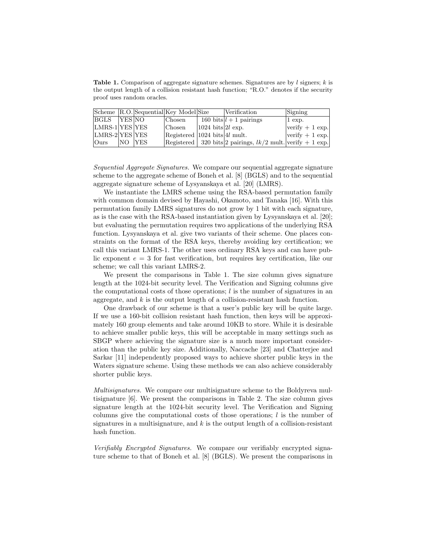**Table 1.** Comparison of aggregate signature schemes. Signatures are by  $l$  signers;  $k$  is the output length of a collision resistant hash function; "R.O." denotes if the security proof uses random oracles.

|                   |               |          | Scheme R.O. Sequential Key Model Size            |                                      | Verification                                                   | Signing            |
|-------------------|---------------|----------|--------------------------------------------------|--------------------------------------|----------------------------------------------------------------|--------------------|
| BGLS              | <b>YES NO</b> |          | Chosen                                           |                                      | $160 \text{ bits} \ell + 1 \text{ pairings}$                   | 1 exp.             |
| $ LMRS-1 YES YES$ |               |          | <b>Chosen</b>                                    | $ 1024 \text{ bits} 2l \text{ exp}.$ |                                                                | $ verify + 1 exp.$ |
| $LMRS-2 YES YES$  |               |          | Registered $ 1024 \text{ bits} 4l \text{ mult.}$ |                                      |                                                                | $ verify + 1 exp.$ |
| Ours              |               | INO IYES |                                                  |                                      | Registered   320 bits 2 pairings, $lk/2$ mult. verify + 1 exp. |                    |

Sequential Aggregate Signatures. We compare our sequential aggregate signature scheme to the aggregate scheme of Boneh et al. [8] (BGLS) and to the sequential aggregate signature scheme of Lysyanskaya et al. [20] (LMRS).

We instantiate the LMRS scheme using the RSA-based permutation family with common domain devised by Hayashi, Okamoto, and Tanaka [16]. With this permutation family LMRS signatures do not grow by 1 bit with each signature, as is the case with the RSA-based instantiation given by Lysyanskaya et al. [20]; but evaluating the permutation requires two applications of the underlying RSA function. Lysyanskaya et al. give two variants of their scheme. One places constraints on the format of the RSA keys, thereby avoiding key certification; we call this variant LMRS-1. The other uses ordinary RSA keys and can have public exponent  $e = 3$  for fast verification, but requires key certification, like our scheme; we call this variant LMRS-2.

We present the comparisons in Table 1. The size column gives signature length at the 1024-bit security level. The Verification and Signing columns give the computational costs of those operations;  $l$  is the number of signatures in an aggregate, and  $k$  is the output length of a collision-resistant hash function.

One drawback of our scheme is that a user's public key will be quite large. If we use a 160-bit collision resistant hash function, then keys will be approximately 160 group elements and take around 10KB to store. While it is desirable to achieve smaller public keys, this will be acceptable in many settings such as SBGP where achieving the signature size is a much more important consideration than the public key size. Additionally, Naccache [23] and Chatterjee and Sarkar [11] independently proposed ways to achieve shorter public keys in the Waters signature scheme. Using these methods we can also achieve considerably shorter public keys.

Multisignatures. We compare our multisignature scheme to the Boldyreva multisignature [6]. We present the comparisons in Table 2. The size column gives signature length at the 1024-bit security level. The Verification and Signing columns give the computational costs of those operations;  $l$  is the number of signatures in a multisignature, and  $k$  is the output length of a collision-resistant hash function.

Verifiably Encrypted Signatures. We compare our verifiably encrypted signature scheme to that of Boneh et al. [8] (BGLS). We present the comparisons in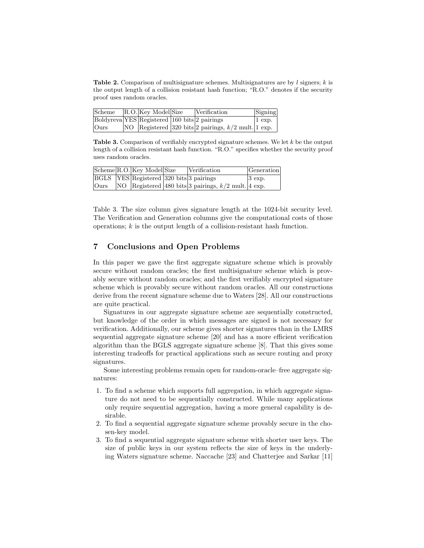**Table 2.** Comparison of multisignature schemes. Multisignatures are by  $l$  signers;  $k$  is the output length of a collision resistant hash function; "R.O." denotes if the security proof uses random oracles.

| Scheme | R.O.Key ModelSize                            | Verification                                          | Signing   |
|--------|----------------------------------------------|-------------------------------------------------------|-----------|
|        | Boldyreva YES Registered 160 bits 2 pairings |                                                       | $ 1$ exp. |
| Ours   |                                              | NO Registered 320 bits 2 pairings, $k/2$ mult. 1 exp. |           |

**Table 3.** Comparison of verifiably encrypted signature schemes. We let  $k$  be the output length of a collision resistant hash function. "R.O." specifies whether the security proof uses random oracles.

|      | Scheme R.O. Key Model Size              | Verification                                          | Generation |
|------|-----------------------------------------|-------------------------------------------------------|------------|
|      | BGLS YES Registered 320 bits 3 pairings |                                                       | $3 \exp.$  |
| Ours |                                         | NO Registered 480 bits 3 pairings, $k/2$ mult. 4 exp. |            |

Table 3. The size column gives signature length at the 1024-bit security level. The Verification and Generation columns give the computational costs of those operations;  $k$  is the output length of a collision-resistant hash function.

# 7 Conclusions and Open Problems

In this paper we gave the first aggregate signature scheme which is provably secure without random oracles; the first multisignature scheme which is provably secure without random oracles; and the first verifiably encrypted signature scheme which is provably secure without random oracles. All our constructions derive from the recent signature scheme due to Waters [28]. All our constructions are quite practical.

Signatures in our aggregate signature scheme are sequentially constructed, but knowledge of the order in which messages are signed is not necessary for verification. Additionally, our scheme gives shorter signatures than in the LMRS sequential aggregate signature scheme [20] and has a more efficient verification algorithm than the BGLS aggregate signature scheme [8]. That this gives some interesting tradeoffs for practical applications such as secure routing and proxy signatures.

Some interesting problems remain open for random-oracle–free aggregate signatures:

- 1. To find a scheme which supports full aggregation, in which aggregate signature do not need to be sequentially constructed. While many applications only require sequential aggregation, having a more general capability is desirable.
- 2. To find a sequential aggregate signature scheme provably secure in the chosen-key model.
- 3. To find a sequential aggregate signature scheme with shorter user keys. The size of public keys in our system reflects the size of keys in the underlying Waters signature scheme. Naccache [23] and Chatterjee and Sarkar [11]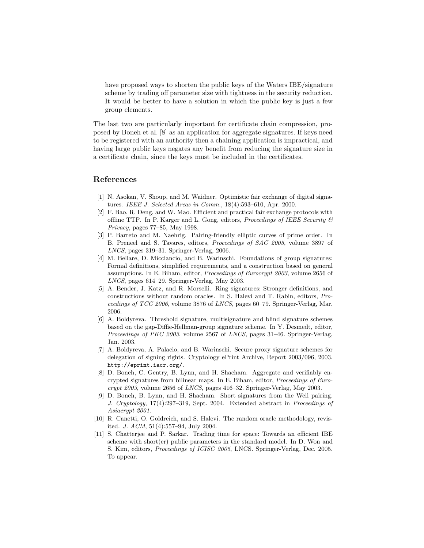have proposed ways to shorten the public keys of the Waters IBE/signature scheme by trading off parameter size with tightness in the security reduction. It would be better to have a solution in which the public key is just a few group elements.

The last two are particularly important for certificate chain compression, proposed by Boneh et al. [8] as an application for aggregate signatures. If keys need to be registered with an authority then a chaining application is impractical, and having large public keys negates any benefit from reducing the signature size in a certificate chain, since the keys must be included in the certificates.

### References

- [1] N. Asokan, V. Shoup, and M. Waidner. Optimistic fair exchange of digital signatures. IEEE J. Selected Areas in Comm., 18(4):593–610, Apr. 2000.
- [2] F. Bao, R. Deng, and W. Mao. Efficient and practical fair exchange protocols with offline TTP. In P. Karger and L. Gong, editors, Proceedings of IEEE Security & Privacy, pages 77–85, May 1998.
- [3] P. Barreto and M. Naehrig. Pairing-friendly elliptic curves of prime order. In B. Preneel and S. Tavares, editors, Proceedings of SAC 2005, volume 3897 of LNCS, pages 319–31. Springer-Verlag, 2006.
- [4] M. Bellare, D. Micciancio, and B. Warinschi. Foundations of group signatures: Formal definitions, simplified requirements, and a construction based on general assumptions. In E. Biham, editor, Proceedings of Eurocrypt 2003, volume 2656 of LNCS, pages 614–29. Springer-Verlag, May 2003.
- [5] A. Bender, J. Katz, and R. Morselli. Ring signatures: Stronger definitions, and constructions without random oracles. In S. Halevi and T. Rabin, editors, Proceedings of TCC 2006, volume 3876 of LNCS, pages 60–79. Springer-Verlag, Mar. 2006.
- [6] A. Boldyreva. Threshold signature, multisignature and blind signature schemes based on the gap-Diffie-Hellman-group signature scheme. In Y. Desmedt, editor, Proceedings of PKC 2003, volume 2567 of LNCS, pages 31-46. Springer-Verlag, Jan. 2003.
- [7] A. Boldyreva, A. Palacio, and B. Warinschi. Secure proxy signature schemes for delegation of signing rights. Cryptology ePrint Archive, Report 2003/096, 2003. http://eprint.iacr.org/.
- [8] D. Boneh, C. Gentry, B. Lynn, and H. Shacham. Aggregate and verifiably encrypted signatures from bilinear maps. In E. Biham, editor, Proceedings of Eurocrypt 2003, volume 2656 of LNCS, pages 416–32. Springer-Verlag, May 2003.
- [9] D. Boneh, B. Lynn, and H. Shacham. Short signatures from the Weil pairing. J. Cryptology, 17(4):297–319, Sept. 2004. Extended abstract in Proceedings of Asiacrypt 2001.
- [10] R. Canetti, O. Goldreich, and S. Halevi. The random oracle methodology, revisited. J. ACM, 51(4):557–94, July 2004.
- [11] S. Chatterjee and P. Sarkar. Trading time for space: Towards an efficient IBE scheme with short(er) public parameters in the standard model. In D. Won and S. Kim, editors, Proceedings of ICISC 2005, LNCS. Springer-Verlag, Dec. 2005. To appear.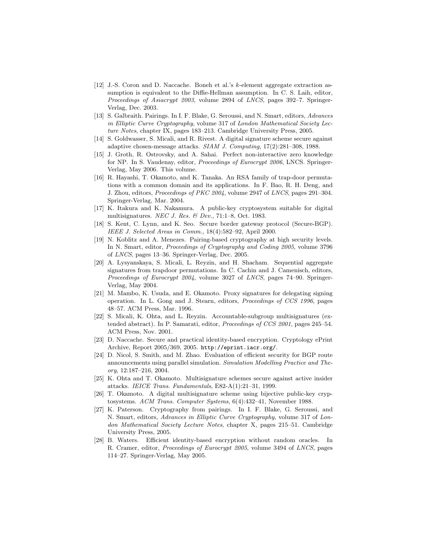- [12] J.-S. Coron and D. Naccache. Boneh et al.'s k-element aggregate extraction assumption is equivalent to the Diffie-Hellman assumption. In C. S. Laih, editor, Proceedings of Asiacrypt 2003, volume 2894 of LNCS, pages 392–7. Springer-Verlag, Dec. 2003.
- [13] S. Galbraith. Pairings. In I. F. Blake, G. Seroussi, and N. Smart, editors, Advances in Elliptic Curve Cryptography, volume 317 of London Mathematical Society Lecture Notes, chapter IX, pages 183–213. Cambridge University Press, 2005.
- [14] S. Goldwasser, S. Micali, and R. Rivest. A digital signature scheme secure against adaptive chosen-message attacks. SIAM J. Computing, 17(2):281–308, 1988.
- [15] J. Groth, R. Ostrovsky, and A. Sahai. Perfect non-interactive zero knowledge for NP. In S. Vaudenay, editor, Proceedings of Eurocrypt 2006, LNCS. Springer-Verlag, May 2006. This volume.
- [16] R. Hayashi, T. Okamoto, and K. Tanaka. An RSA family of trap-door permutations with a common domain and its applications. In F. Bao, R. H. Deng, and J. Zhou, editors, Proceedings of PKC 2004, volume 2947 of LNCS, pages 291–304. Springer-Verlag, Mar. 2004.
- [17] K. Itakura and K. Nakamura. A public-key cryptosystem suitable for digital multisignatures. NEC J. Res. & Dev., 71:1–8, Oct. 1983.
- [18] S. Kent, C. Lynn, and K. Seo. Secure border gateway protocol (Secure-BGP). IEEE J. Selected Areas in Comm., 18(4):582–92, April 2000.
- [19] N. Koblitz and A. Menezes. Pairing-based cryptography at high security levels. In N. Smart, editor, Proceedings of Cryptography and Coding 2005, volume 3796 of LNCS, pages 13–36. Springer-Verlag, Dec. 2005.
- [20] A. Lysyanskaya, S. Micali, L. Reyzin, and H. Shacham. Sequential aggregate signatures from trapdoor permutations. In C. Cachin and J. Camenisch, editors, Proceedings of Eurocrypt 2004, volume 3027 of LNCS, pages 74–90. Springer-Verlag, May 2004.
- [21] M. Mambo, K. Usuda, and E. Okamoto. Proxy signatures for delegating signing operation. In L. Gong and J. Stearn, editors, Proceedings of CCS 1996, pages 48–57. ACM Press, Mar. 1996.
- [22] S. Micali, K. Ohta, and L. Reyzin. Accountable-subgroup multisignatures (extended abstract). In P. Samarati, editor, Proceedings of CCS 2001, pages 245–54. ACM Press, Nov. 2001.
- [23] D. Naccache. Secure and practical identity-based encryption. Cryptology ePrint Archive, Report 2005/369, 2005. http://eprint.iacr.org/.
- [24] D. Nicol, S. Smith, and M. Zhao. Evaluation of efficient security for BGP route announcements using parallel simulation. Simulation Modelling Practice and Theory, 12:187–216, 2004.
- [25] K. Ohta and T. Okamoto. Multisignature schemes secure against active insider attacks. IEICE Trans. Fundamentals, E82-A(1):21–31, 1999.
- [26] T. Okamoto. A digital multisignature scheme using bijective public-key cryptosystems. ACM Trans. Computer Systems, 6(4):432–41, November 1988.
- [27] K. Paterson. Cryptography from pairings. In I. F. Blake, G. Seroussi, and N. Smart, editors, Advances in Elliptic Curve Cryptography, volume 317 of London Mathematical Society Lecture Notes, chapter X, pages 215–51. Cambridge University Press, 2005.
- [28] B. Waters. Efficient identity-based encryption without random oracles. In R. Cramer, editor, *Proceedings of Eurocrypt 2005*, volume 3494 of *LNCS*, pages 114–27. Springer-Verlag, May 2005.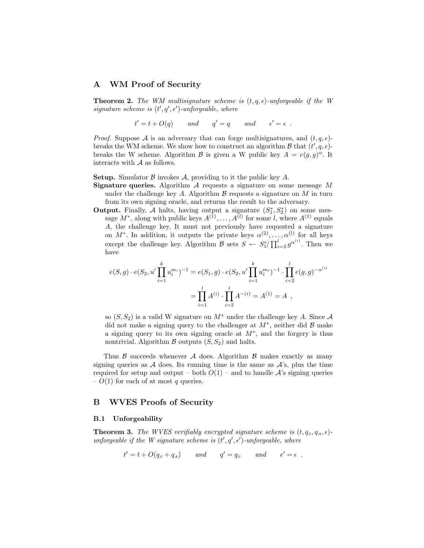### A WM Proof of Security

**Theorem 2.** The WM multisignature scheme is  $(t, q, \epsilon)$ -unforgeable if the W signature scheme is  $(t', q', \epsilon')$ -unforgeable, where

> $t' = t + O(q)$  and  $q' = q$  and  $\epsilon$  $\epsilon' = \epsilon$  .

*Proof.* Suppose A is an adversary that can forge multisignatures, and  $(t, q, \epsilon)$ breaks the WM scheme. We show how to construct an algorithm  $\mathcal B$  that  $(t', q, \epsilon)$ breaks the W scheme. Algorithm B is given a W public key  $A = e(g, g)^{\alpha}$ . It interacts with  $A$  as follows.

**Setup.** Simulator  $\beta$  invokes  $\mathcal{A}$ , providing to it the public key  $\mathcal{A}$ .

- **Signature queries.** Algorithm  $\mathcal A$  requests a signature on some message  $M$ under the challenge key A. Algorithm  $\beta$  requests a signature on  $M$  in turn from its own signing oracle, and returns the result to the adversary.
- Output. Finally, A halts, having output a signature  $(S_1^*, S_2^*)$  on some message  $M^*$ , along with public keys  $A^{(1)}, \ldots, A^{(l)}$  for some l, where  $A^{(1)}$  equals A, the challenge key. It must not previously have requested a signature on  $M^*$ . In addition, it outputs the private keys  $\alpha^{(2)}, \ldots, \alpha^{(l)}$  for all keys except the challenge key. Algorithm  $\mathcal{B}$  sets  $S \leftarrow S^* \setminus \prod_{i=2}^l g^{\alpha^{(i)}}$ . Then we have

$$
e(S,g) \cdot e(S_2, u' \prod_{i=1}^k u_i^{m_i})^{-1} = e(S_1, g) \cdot e(S_2, u' \prod_{i=1}^k u_i^{m_i})^{-1} \cdot \prod_{i=2}^l e(g, g)^{-\alpha^{(i)}}
$$

$$
= \prod_{i=1}^l A^{(i)} \cdot \prod_{i=2}^l A^{-(i)} = A^{(1)} = A,
$$

so  $(S, S_2)$  is a valid W signature on  $M^*$  under the challenge key A. Since A did not make a signing query to the challenger at  $M^*$ , neither did  $\mathcal{B}$  make a signing query to its own signing oracle at  $M^*$ , and the forgery is thus nontrivial. Algorithm  $\mathcal B$  outputs  $(S, S_2)$  and halts.

Thus  $\beta$  succeeds whenever  $\mathcal A$  does. Algorithm  $\beta$  makes exactly as many signing queries as  $A$  does. Its running time is the same as  $A$ 's, plus the time required for setup and output – both  $O(1)$  – and to handle  $\mathcal{A}$ 's signing queries  $- O(1)$  for each of at most q queries.

## B WVES Proofs of Security

#### B.1 Unforgeability

**Theorem 3.** The WVES verifiably encrypted signature scheme is  $(t, q_S, q_A, \epsilon)$ unforgeable if the W signature scheme is  $(t', q', \epsilon')$ -unforgeable, where

$$
t' = t + O(q_s + q_A)
$$
 and  $q' = q_s$  and  $\epsilon' = \epsilon$ .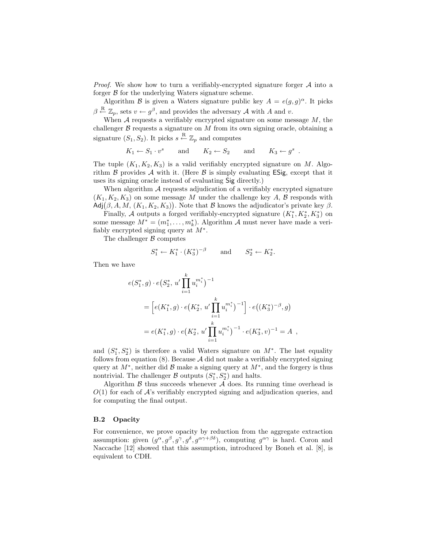*Proof.* We show how to turn a verifiably-encrypted signature forger  $A$  into a forger B for the underlying Waters signature scheme.

Algorithm B is given a Waters signature public key  $A = e(g, g)^{\alpha}$ . It picks  $\beta \stackrel{\text{R}}{\leftarrow} \mathbb{Z}_p$ , sets  $v \leftarrow g^{\beta}$ , and provides the adversary A with A and v.

When  $A$  requests a verifiably encrypted signature on some message  $M$ , the challenger  $\beta$  requests a signature on  $M$  from its own signing oracle, obtaining a signature  $(S_1, S_2)$ . It picks  $s \stackrel{\text{R}}{\leftarrow} \mathbb{Z}_p$  and computes

 $K_1 \leftarrow S_1 \cdot v^s$  and  $K_2 \leftarrow S_2$  and  $K_3 \leftarrow g^s$ .

The tuple  $(K_1, K_2, K_3)$  is a valid verifiably encrypted signature on M. Algorithm  $\beta$  provides  $\mathcal A$  with it. (Here  $\beta$  is simply evaluating ESig, except that it uses its signing oracle instead of evaluating Sig directly.)

When algorithm A requests adjudication of a verifiably encrypted signature  $(K_1, K_2, K_3)$  on some message M under the challenge key A, B responds with Adj $(\beta, A, M, (K_1, K_2, K_3))$ . Note that  $\beta$  knows the adjudicator's private key  $\beta$ .

Finally, A outputs a forged verifiably-encrypted signature  $(K_1^*, K_2^*, K_3^*)$  on some message  $M^* = (m_1^*, \ldots, m_k^*)$ . Algorithm A must never have made a verifiably encrypted signing query at  $M^*$ .

The challenger  $\beta$  computes

$$
S_1^* \leftarrow K_1^* \cdot (K_3^*)^{-\beta}
$$
 and  $S_2^* \leftarrow K_2^*$ .

Then we have

$$
e(S_1^*, g) \cdot e(S_2^*, u' \prod_{i=1}^k u_i^{m_i^*})^{-1}
$$
  
= 
$$
\left[ e(K_1^*, g) \cdot e(K_2^*, u' \prod_{i=1}^k u_i^{m_i^*})^{-1} \right] \cdot e((K_3^*)^{-\beta}, g)
$$
  
= 
$$
e(K_1^*, g) \cdot e(K_2^*, u' \prod_{i=1}^k u_i^{m_i^*})^{-1} \cdot e(K_3^*, v)^{-1} = A,
$$

and  $(S_1^*, S_2^*)$  is therefore a valid Waters signature on  $M^*$ . The last equality follows from equation  $(8)$ . Because  $\mathcal A$  did not make a verifiably encrypted signing query at  $M^*$ , neither did  $\mathcal{B}$  make a signing query at  $M^*$ , and the forgery is thus nontrivial. The challenger  $\mathcal B$  outputs  $(S_1^*, S_2^*)$  and halts.

Algorithm  $\beta$  thus succeeds whenever  $\mathcal A$  does. Its running time overhead is  $O(1)$  for each of  $\mathcal{A}$ 's verifiably encrypted signing and adjudication queries, and for computing the final output.

#### B.2 Opacity

For convenience, we prove opacity by reduction from the aggregate extraction assumption: given  $(g^{\alpha}, g^{\beta}, g^{\gamma}, g^{\delta}, g^{\alpha\gamma+\beta\delta})$ , computing  $g^{\alpha\gamma}$  is hard. Coron and Naccache [12] showed that this assumption, introduced by Boneh et al. [8], is equivalent to CDH.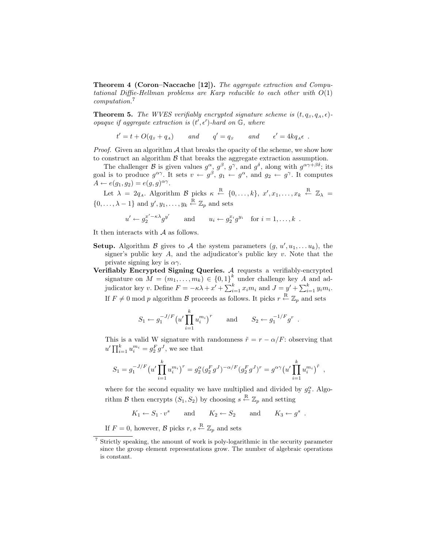Theorem 4 (Coron–Naccache [12]). The aggregate extraction and Computational Diffie-Hellman problems are Karp reducible to each other with  $O(1)$ computation.<sup>7</sup>

**Theorem 5.** The WVES verifiably encrypted signature scheme is  $(t, q_S, q_A, \epsilon)$ opaque if aggregate extraction is  $(t', \epsilon')$ -hard on  $\mathbb{G}$ , where

 $t' = t + O(q_s + q_A)$  and  $q' = q_s$  and  $\epsilon' = 4kq_A\epsilon$ .

*Proof.* Given an algorithm  $\mathcal A$  that breaks the opacity of the scheme, we show how to construct an algorithm  $\beta$  that breaks the aggregate extraction assumption.

The challenger B is given values  $g^{\alpha}$ ,  $g^{\beta}$ ,  $g^{\gamma}$ , and  $g^{\delta}$ , along with  $g^{\alpha\gamma+\beta\delta}$ ; its goal is to produce  $g^{\alpha\gamma}$ . It sets  $v \leftarrow g^{\beta}$ ,  $g_1 \leftarrow g^{\alpha}$ , and  $g_2 \leftarrow g^{\gamma}$ . It computes  $A \leftarrow e(g_1, g_2) = e(g, g)^{\alpha \gamma}.$ 

Let  $\lambda = 2q_A$ . Algorithm B picks  $\kappa \stackrel{\text{R}}{\leftarrow} \{0,\ldots,k\}, x',x_1,\ldots,x_k \stackrel{\text{R}}{\leftarrow} \mathbb{Z}_{\lambda} =$  $\{0,\ldots,\lambda-1\}$  and  $y', y_1,\ldots,y_k \stackrel{\text{R}}{\leftarrow} \mathbb{Z}_p$  and sets

$$
u' \leftarrow g_2^{x'-\kappa\lambda} g^{y'}
$$
 and  $u_i \leftarrow g_2^{x_i} g^{y_i}$  for  $i = 1, ..., k$ .

It then interacts with  $\mathcal A$  as follows.

- **Setup.** Algorithm B gives to A the system parameters  $(g, u', u_1, \ldots, u_k)$ , the signer's public key  $A$ , and the adjudicator's public key  $v$ . Note that the private signing key is  $\alpha \gamma$ .
- Verifiably Encrypted Signing Queries. A requests a verifiably-encrypted signature on  $M = (m_1, \ldots, m_k) \in \{0,1\}^k$  under challenge key A and adjudicator key v. Define  $F = -\kappa \lambda + x' + \sum_{i=1}^{k} x_i m_i$  and  $J = y' + \sum_{i=1}^{k} y_i m_i$ . If  $F \neq 0 \mod p$  algorithm  $\mathcal B$  proceeds as follows. It picks  $r \stackrel{\text{R}}{\leftarrow} \mathbb{Z}_p$  and sets

$$
S_1 \leftarrow g_1^{-J/F} (u' \prod_{i=1}^k u_i^{m_i})^r
$$
 and  $S_2 \leftarrow g_1^{-1/F} g^r$ .

This is a valid W signature with randomness  $\tilde{r} = r - \alpha/F$ : observing that  $u' \prod_{i=1}^k u_i^{m_i} = g_2^F g^J$ , we see that

$$
S_1 = g_1^{-J/F} (u' \prod_{i=1}^k u_i^{m_i})^r = g_2^{\alpha} (g_2^F g^J)^{-\alpha/F} (g_2^F g^J)^r = g^{\alpha \gamma} (u' \prod_{i=1}^k u_i^{m_i})^{\tilde{r}}
$$

where for the second equality we have multiplied and divided by  $g_2^{\alpha}$ . Algorithm B then encrypts  $(S_1, S_2)$  by choosing  $s \stackrel{\text{R}}{\leftarrow} \mathbb{Z}_p$  and setting

$$
K_1 \leftarrow S_1 \cdot v^s
$$
 and  $K_2 \leftarrow S_2$  and  $K_3 \leftarrow g^s$ .

If  $F = 0$ , however,  $\mathcal{B}$  picks  $r, s \stackrel{\text{R}}{\leftarrow} \mathbb{Z}_p$  and sets

<sup>7</sup> Strictly speaking, the amount of work is poly-logarithmic in the security parameter since the group element representations grow. The number of algebraic operations is constant.